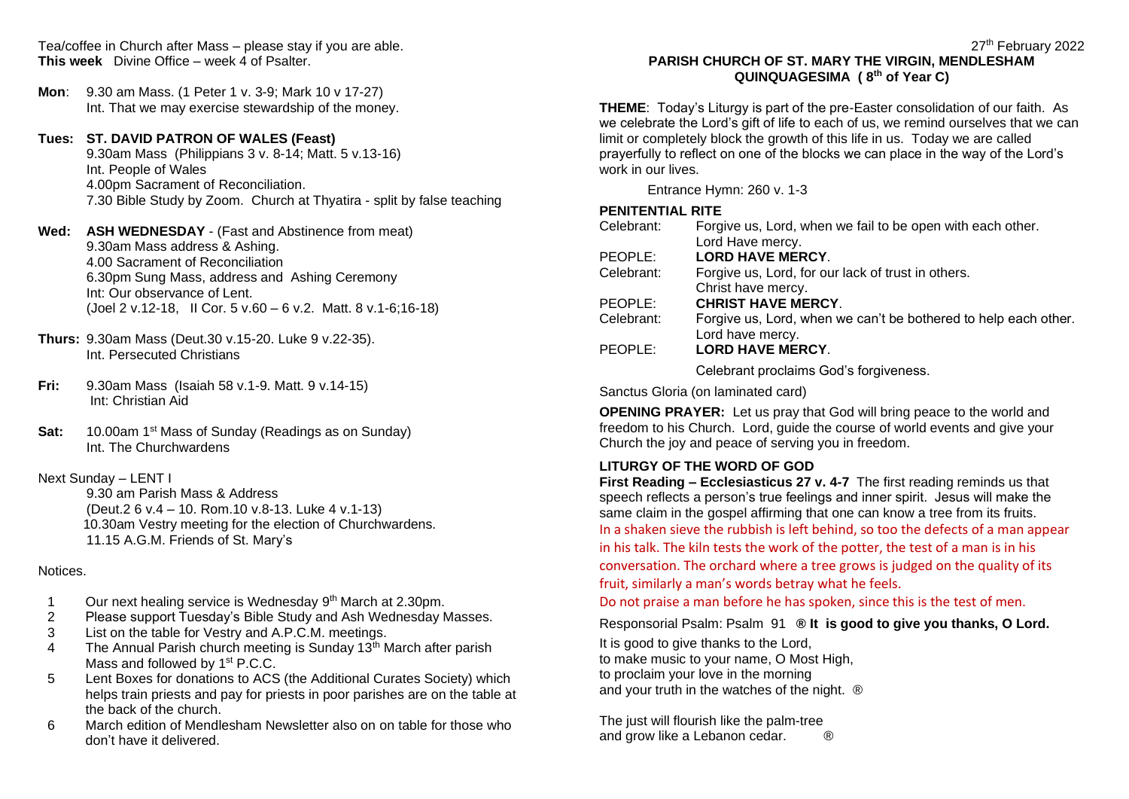Tea/coffee in Church after Mass – please stay if you are able. **This week** Divine Office – week 4 of Psalter.

**Mon**: 9.30 am Mass. (1 Peter 1 v. 3-9; Mark 10 v 17-27) Int. That we may exercise stewardship of the money.

**Tues: ST. DAVID PATRON OF WALES (Feast)** 9.30am Mass (Philippians 3 v. 8-14; Matt. 5 v.13-16) Int. People of Wales 4.00pm Sacrament of Reconciliation. 7.30 Bible Study by Zoom. Church at Thyatira - split by false teaching

#### **Wed: ASH WEDNESDAY** - (Fast and Abstinence from meat) 9.30am Mass address & Ashing. 4.00 Sacrament of Reconciliation 6.30pm Sung Mass, address and Ashing Ceremony Int: Our observance of Lent. (Joel 2 v.12-18, II Cor. 5 v.60 – 6 v.2. Matt. 8 v.1-6;16-18)

- **Thurs:** 9.30am Mass (Deut.30 v.15-20. Luke 9 v.22-35). Int. Persecuted Christians
- **Fri:** 9.30am Mass (Isaiah 58 v.1-9. Matt. 9 v.14-15) Int: Christian Aid
- Sat: 10.00am 1<sup>st</sup> Mass of Sunday (Readings as on Sunday) Int. The Churchwardens

## Next Sunday – LENT I

9.30 am Parish Mass & Address (Deut.2 6 v.4 – 10. Rom.10 v.8-13. Luke 4 v.1-13) 10.30am Vestry meeting for the election of Churchwardens. 11.15 A.G.M. Friends of St. Mary's

#### Notices.

- 1 Our next healing service is Wednesday 9<sup>th</sup> March at 2.30pm.
- 2 Please support Tuesday's Bible Study and Ash Wednesday Masses.
- 3 List on the table for Vestry and A.P.C.M. meetings.
- 4 The Annual Parish church meeting is Sunday  $13<sup>th</sup>$  March after parish Mass and followed by 1<sup>st</sup> P.C.C.
- 5 Lent Boxes for donations to ACS (the Additional Curates Society) which helps train priests and pay for priests in poor parishes are on the table at the back of the church.
- 6 March edition of Mendlesham Newsletter also on on table for those who don't have it delivered.

#### 27<sup>th</sup> February 2022 **PARISH CHURCH OF ST. MARY THE VIRGIN, MENDLESHAM QUINQUAGESIMA ( 8th of Year C)**

**THEME**: Today's Liturgy is part of the pre-Easter consolidation of our faith. As we celebrate the Lord's gift of life to each of us, we remind ourselves that we can limit or completely block the growth of this life in us. Today we are called prayerfully to reflect on one of the blocks we can place in the way of the Lord's work in our lives.

Entrance Hymn: 260 v. 1-3

## **PENITENTIAL RITE**

| Celebrant: | Forgive us, Lord, when we fail to be open with each other.      |
|------------|-----------------------------------------------------------------|
|            | Lord Have mercy.                                                |
| PEOPLE:    | <b>LORD HAVE MERCY.</b>                                         |
| Celebrant: | Forgive us, Lord, for our lack of trust in others.              |
|            | Christ have mercy.                                              |
| PEOPLE:    | <b>CHRIST HAVE MERCY.</b>                                       |
| Celebrant: | Forgive us, Lord, when we can't be bothered to help each other. |
|            | Lord have mercy.                                                |
| PEOPLE:    | <b>LORD HAVE MERCY.</b>                                         |
|            | Colobrant proclaims Cod's forgiveness                           |

Celebrant proclaims God's forgiveness.

Sanctus Gloria (on laminated card)

**OPENING PRAYER:** Let us pray that God will bring peace to the world and freedom to his Church. Lord, guide the course of world events and give your Church the joy and peace of serving you in freedom.

## **LITURGY OF THE WORD OF GOD**

**First Reading – Ecclesiasticus 27 v. 4-7** The first reading reminds us that speech reflects a person's true feelings and inner spirit. Jesus will make the same claim in the gospel affirming that one can know a tree from its fruits. In a shaken sieve the rubbish is left behind, so too the defects of a man appear in his talk. The kiln tests the work of the potter, the test of a man is in his conversation. The orchard where a tree grows is judged on the quality of its fruit, similarly a man's words betray what he feels.

Do not praise a man before he has spoken, since this is the test of men.

#### Responsorial Psalm: Psalm 91 **® It is good to give you thanks, O Lord.**

It is good to give thanks to the Lord, to make music to your name, O Most High, to proclaim your love in the morning and your truth in the watches of the night.  $\circledR$ 

The just will flourish like the palm-tree and grow like a Lebanon cedar.  $\otimes$